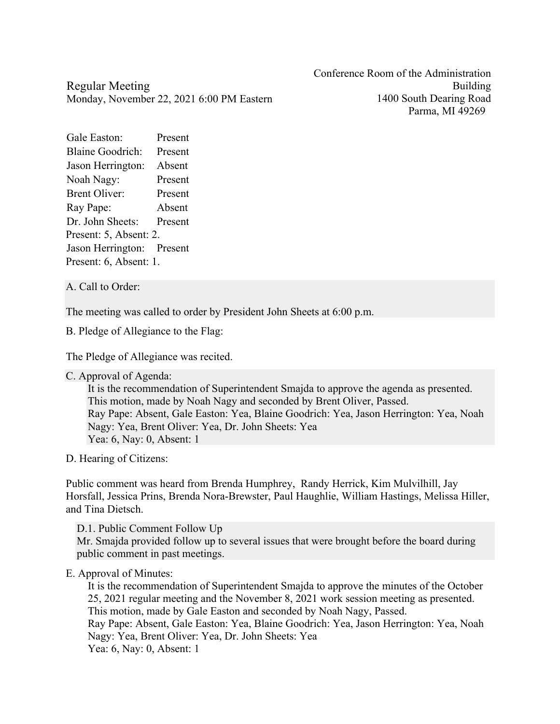Conference Room of the Administration Building 1400 South Dearing Road Parma, MI 49269

Regular Meeting Monday, November 22, 2021 6:00 PM Eastern

Gale Easton: Present Blaine Goodrich: Present Jason Herrington: Absent Noah Nagy: Present Brent Oliver: Present Ray Pape: Absent Dr. John Sheets: Present Present: 5, Absent: 2. Jason Herrington: Present Present: 6, Absent: 1.

A. Call to Order:

The meeting was called to order by President John Sheets at 6:00 p.m.

B. Pledge of Allegiance to the Flag:

The Pledge of Allegiance was recited.

C. Approval of Agenda:

It is the recommendation of Superintendent Smajda to approve the agenda as presented. This motion, made by Noah Nagy and seconded by Brent Oliver, Passed. Ray Pape: Absent, Gale Easton: Yea, Blaine Goodrich: Yea, Jason Herrington: Yea, Noah Nagy: Yea, Brent Oliver: Yea, Dr. John Sheets: Yea Yea: 6, Nay: 0, Absent: 1

D. Hearing of Citizens:

Public comment was heard from Brenda Humphrey, Randy Herrick, Kim Mulvilhill, Jay Horsfall, Jessica Prins, Brenda Nora-Brewster, Paul Haughlie, William Hastings, Melissa Hiller, and Tina Dietsch.

D.1. Public Comment Follow Up

Mr. Smajda provided follow up to several issues that were brought before the board during public comment in past meetings.

## E. Approval of Minutes:

It is the recommendation of Superintendent Smajda to approve the minutes of the October 25, 2021 regular meeting and the November 8, 2021 work session meeting as presented. This motion, made by Gale Easton and seconded by Noah Nagy, Passed. Ray Pape: Absent, Gale Easton: Yea, Blaine Goodrich: Yea, Jason Herrington: Yea, Noah Nagy: Yea, Brent Oliver: Yea, Dr. John Sheets: Yea Yea: 6, Nay: 0, Absent: 1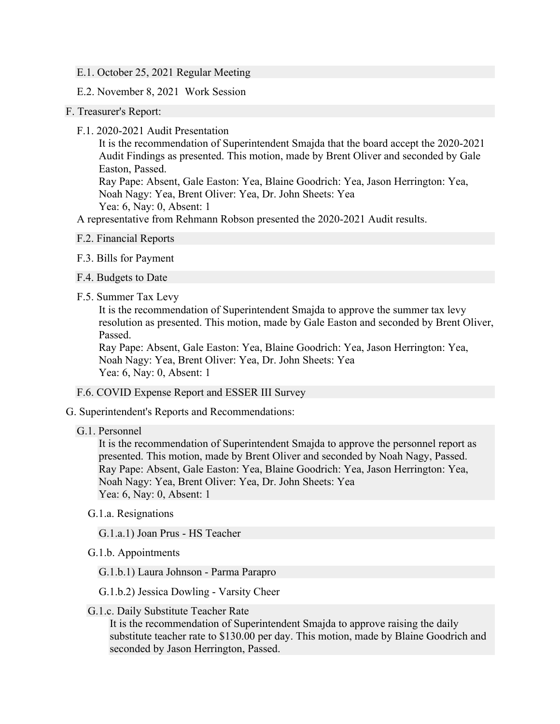- E.1. October 25, 2021 Regular Meeting
- E.2. November 8, 2021 Work Session
- F. Treasurer's Report:
	- F.1. 2020-2021 Audit Presentation

It is the recommendation of Superintendent Smajda that the board accept the 2020-2021 Audit Findings as presented. This motion, made by Brent Oliver and seconded by Gale Easton, Passed.

Ray Pape: Absent, Gale Easton: Yea, Blaine Goodrich: Yea, Jason Herrington: Yea, Noah Nagy: Yea, Brent Oliver: Yea, Dr. John Sheets: Yea Yea: 6, Nay: 0, Absent: 1

A representative from Rehmann Robson presented the 2020-2021 Audit results.

- F.2. Financial Reports
- F.3. Bills for Payment
- F.4. Budgets to Date
- F.5. Summer Tax Levy

It is the recommendation of Superintendent Smajda to approve the summer tax levy resolution as presented. This motion, made by Gale Easton and seconded by Brent Oliver, Passed.

Ray Pape: Absent, Gale Easton: Yea, Blaine Goodrich: Yea, Jason Herrington: Yea, Noah Nagy: Yea, Brent Oliver: Yea, Dr. John Sheets: Yea Yea: 6, Nay: 0, Absent: 1

- F.6. COVID Expense Report and ESSER III Survey
- G. Superintendent's Reports and Recommendations:
	- G.1. Personnel

It is the recommendation of Superintendent Smajda to approve the personnel report as presented. This motion, made by Brent Oliver and seconded by Noah Nagy, Passed. Ray Pape: Absent, Gale Easton: Yea, Blaine Goodrich: Yea, Jason Herrington: Yea, Noah Nagy: Yea, Brent Oliver: Yea, Dr. John Sheets: Yea Yea: 6, Nay: 0, Absent: 1

- G.1.a. Resignations
	- G.1.a.1) Joan Prus HS Teacher
- G.1.b. Appointments

G.1.b.1) Laura Johnson - Parma Parapro

- G.1.b.2) Jessica Dowling Varsity Cheer
- G.1.c. Daily Substitute Teacher Rate

It is the recommendation of Superintendent Smajda to approve raising the daily substitute teacher rate to \$130.00 per day. This motion, made by Blaine Goodrich and seconded by Jason Herrington, Passed.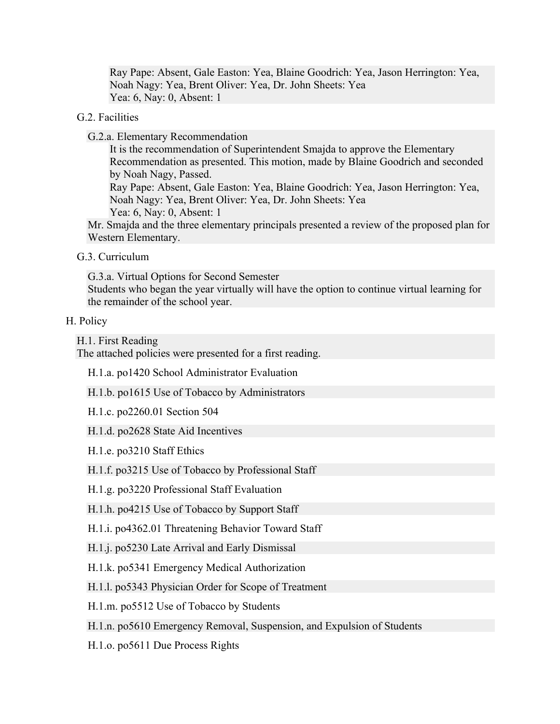Ray Pape: Absent, Gale Easton: Yea, Blaine Goodrich: Yea, Jason Herrington: Yea, Noah Nagy: Yea, Brent Oliver: Yea, Dr. John Sheets: Yea Yea: 6, Nay: 0, Absent: 1

## G.2. Facilities

G.2.a. Elementary Recommendation

It is the recommendation of Superintendent Smajda to approve the Elementary Recommendation as presented. This motion, made by Blaine Goodrich and seconded by Noah Nagy, Passed. Ray Pape: Absent, Gale Easton: Yea, Blaine Goodrich: Yea, Jason Herrington: Yea, Noah Nagy: Yea, Brent Oliver: Yea, Dr. John Sheets: Yea Yea: 6, Nay: 0, Absent: 1 Mr. Smajda and the three elementary principals presented a review of the proposed plan for Western Elementary.

G.3. Curriculum

G.3.a. Virtual Options for Second Semester Students who began the year virtually will have the option to continue virtual learning for the remainder of the school year.

## H. Policy

H.1. First Reading

The attached policies were presented for a first reading.

H.1.a. po1420 School Administrator Evaluation

H.1.b. po1615 Use of Tobacco by Administrators

H.1.c. po2260.01 Section 504

H.1.d. po2628 State Aid Incentives

H.1.e. po3210 Staff Ethics

H.1.f. po3215 Use of Tobacco by Professional Staff

H.1.g. po3220 Professional Staff Evaluation

H.1.h. po4215 Use of Tobacco by Support Staff

H.1.i. po4362.01 Threatening Behavior Toward Staff

H.1.j. po5230 Late Arrival and Early Dismissal

H.1.k. po5341 Emergency Medical Authorization

H.1.l. po5343 Physician Order for Scope of Treatment

H.1.m. po5512 Use of Tobacco by Students

H.1.n. po5610 Emergency Removal, Suspension, and Expulsion of Students

H.1.o. po5611 Due Process Rights